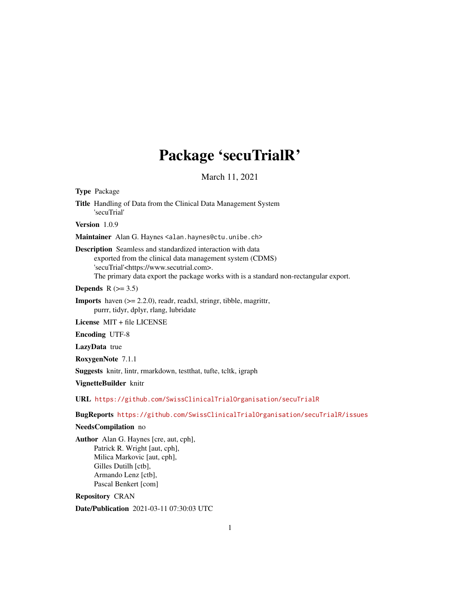# Package 'secuTrialR'

March 11, 2021

Title Handling of Data from the Clinical Data Management System 'secuTrial' Version 1.0.9 Maintainer Alan G. Haynes <alan.haynes@ctu.unibe.ch> Description Seamless and standardized interaction with data exported from the clinical data management system (CDMS) 'secuTrial'<https://www.secutrial.com>. The primary data export the package works with is a standard non-rectangular export.

Depends  $R$  ( $>= 3.5$ )

Imports haven (>= 2.2.0), readr, readxl, stringr, tibble, magrittr, purrr, tidyr, dplyr, rlang, lubridate

License MIT + file LICENSE

Encoding UTF-8

LazyData true

Type Package

RoxygenNote 7.1.1

Suggests knitr, lintr, rmarkdown, testthat, tufte, tcltk, igraph

VignetteBuilder knitr

URL <https://github.com/SwissClinicalTrialOrganisation/secuTrialR>

BugReports <https://github.com/SwissClinicalTrialOrganisation/secuTrialR/issues>

# NeedsCompilation no

Author Alan G. Haynes [cre, aut, cph], Patrick R. Wright [aut, cph], Milica Markovic [aut, cph], Gilles Dutilh [ctb], Armando Lenz [ctb], Pascal Benkert [com]

Repository CRAN

Date/Publication 2021-03-11 07:30:03 UTC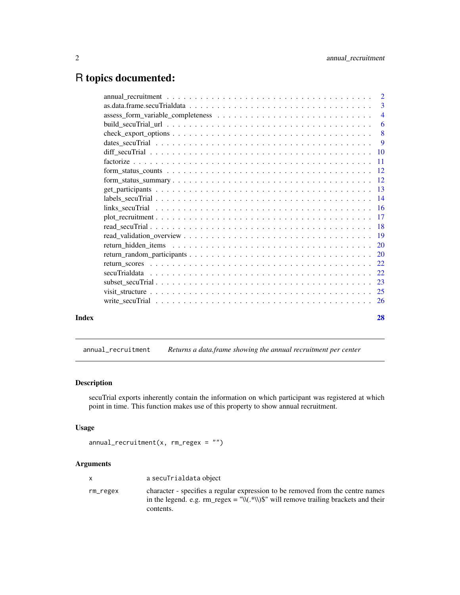# <span id="page-1-0"></span>R topics documented:

|       |    | 3  |
|-------|----|----|
|       |    |    |
|       |    | 6  |
|       |    |    |
|       |    | -9 |
|       |    |    |
|       |    |    |
|       |    |    |
|       |    |    |
|       |    |    |
|       |    |    |
|       |    |    |
|       |    |    |
|       |    |    |
|       |    |    |
|       |    |    |
|       |    |    |
|       |    |    |
|       |    |    |
|       |    |    |
|       |    |    |
|       |    |    |
| Index | 28 |    |
|       |    |    |

annual\_recruitment *Returns a data.frame showing the annual recruitment per center*

# Description

secuTrial exports inherently contain the information on which participant was registered at which point in time. This function makes use of this property to show annual recruitment.

# Usage

```
annual\_recruitment(x, rm\_regex = "")
```
# Arguments

|          | a secuTrialdata object                                                                                                                                                              |
|----------|-------------------------------------------------------------------------------------------------------------------------------------------------------------------------------------|
| rm_regex | character - specifies a regular expression to be removed from the centre names<br>in the legend. e.g. $rm\_regex = "W(.*)W)$ " will remove trailing brackets and their<br>contents. |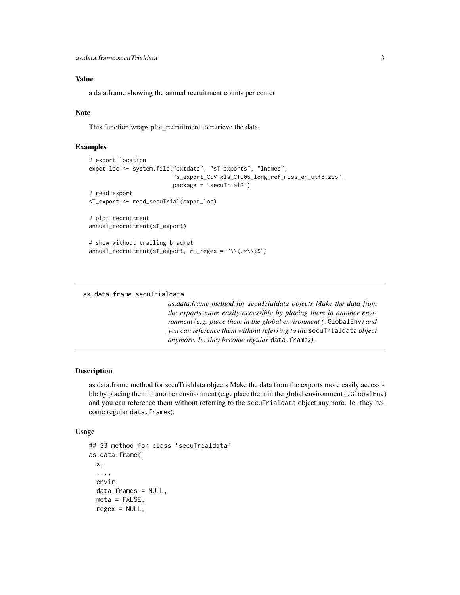# <span id="page-2-0"></span>Value

a data.frame showing the annual recruitment counts per center

# Note

This function wraps plot\_recruitment to retrieve the data.

# Examples

```
# export location
expot_loc <- system.file("extdata", "sT_exports", "lnames",
                         "s_export_CSV-xls_CTU05_long_ref_miss_en_utf8.zip",
                         package = "secuTrialR")
# read export
sT_export <- read_secuTrial(expot_loc)
# plot recruitment
annual_recruitment(sT_export)
# show without trailing bracket
annual_recruitment(sT_export, rm_regex = "\\(.*\\)$")
```
as.data.frame.secuTrialdata

*as.data.frame method for secuTrialdata objects Make the data from the exports more easily accessible by placing them in another environment (e.g. place them in the global environment (*.GlobalEnv*) and you can reference them without referring to the* secuTrialdata *object anymore. Ie. they become regular* data.frame*s).*

# Description

as.data.frame method for secuTrialdata objects Make the data from the exports more easily accessible by placing them in another environment (e.g. place them in the global environment (.GlobalEnv) and you can reference them without referring to the secuTrialdata object anymore. Ie. they become regular data.frames).

#### Usage

```
## S3 method for class 'secuTrialdata'
as.data.frame(
  x,
  ...,
 envir,
 data.frames = NULL,
  meta = FALSE,regex = NULL,
```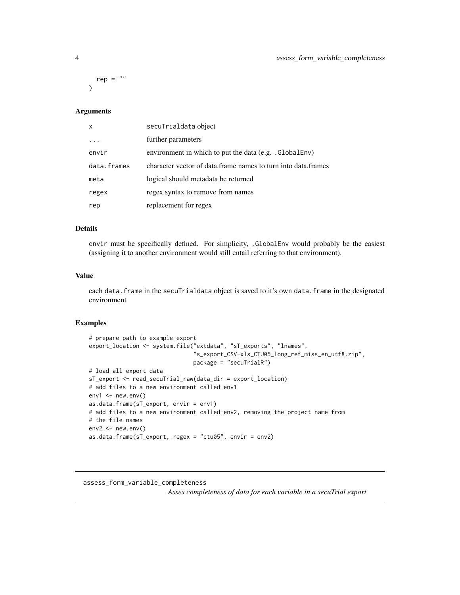rep =  $""$ )

# Arguments

| $\boldsymbol{\mathsf{x}}$ | secuTrialdata object                                            |
|---------------------------|-----------------------------------------------------------------|
|                           | further parameters                                              |
| envir                     | environment in which to put the data (e.g. .GlobalEnv)          |
| data.frames               | character vector of data. frame names to turn into data. frames |
| meta                      | logical should metadata be returned                             |
| regex                     | regex syntax to remove from names                               |
| rep                       | replacement for regex                                           |

# Details

envir must be specifically defined. For simplicity, .GlobalEnv would probably be the easiest (assigning it to another environment would still entail referring to that environment).

# Value

each data.frame in the secuTrialdata object is saved to it's own data.frame in the designated environment

#### Examples

```
# prepare path to example export
export_location <- system.file("extdata", "sT_exports", "lnames",
                               "s_export_CSV-xls_CTU05_long_ref_miss_en_utf8.zip",
                               package = "secuTrialR")
# load all export data
sT_export <- read_secuTrial_raw(data_dir = export_location)
# add files to a new environment called env1
env1 < -newenv()as.data.frame(sT_export, envir = env1)
# add files to a new environment called env2, removing the project name from
# the file names
env2 \le -newenv()as.data.frame(sT_export, regex = "ctu05", envir = env2)
```
assess\_form\_variable\_completeness *Asses completeness of data for each variable in a secuTrial export*

<span id="page-3-0"></span>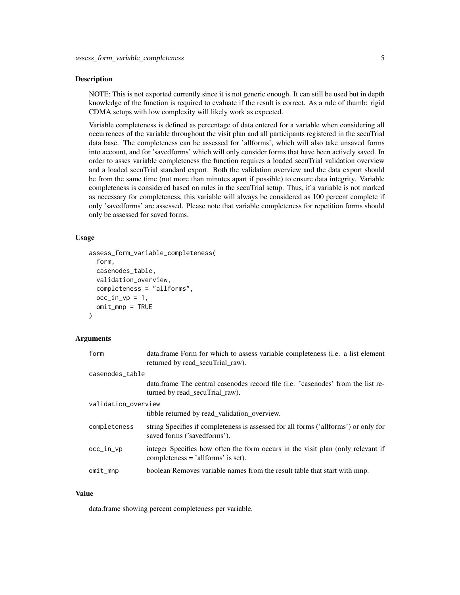# Description

NOTE: This is not exported currently since it is not generic enough. It can still be used but in depth knowledge of the function is required to evaluate if the result is correct. As a rule of thumb: rigid CDMA setups with low complexity will likely work as expected.

Variable completeness is defined as percentage of data entered for a variable when considering all occurrences of the variable throughout the visit plan and all participants registered in the secuTrial data base. The completeness can be assessed for 'allforms', which will also take unsaved forms into account, and for 'savedforms' which will only consider forms that have been actively saved. In order to asses variable completeness the function requires a loaded secuTrial validation overview and a loaded secuTrial standard export. Both the validation overview and the data export should be from the same time (not more than minutes apart if possible) to ensure data integrity. Variable completeness is considered based on rules in the secuTrial setup. Thus, if a variable is not marked as necessary for completeness, this variable will always be considered as 100 percent complete if only 'savedforms' are assessed. Please note that variable completeness for repetition forms should only be assessed for saved forms.

# Usage

```
assess_form_variable_completeness(
  form,
  casenodes_table,
  validation_overview,
  completeness = "allforms",
  occ_in_vp = 1,
  omit_mnp = TRUE)
```
# Arguments

| form                | data.frame Form for which to assess variable completeness (i.e. a list element<br>returned by read_secuTrial_raw).      |  |
|---------------------|-------------------------------------------------------------------------------------------------------------------------|--|
| casenodes_table     |                                                                                                                         |  |
|                     | data.frame The central casenodes record file (i.e. 'casenodes' from the list re-<br>turned by read secuTrial raw).      |  |
| validation_overview |                                                                                                                         |  |
|                     | tibble returned by read_validation_overview.                                                                            |  |
| completeness        | string Specifies if completeness is assessed for all forms ('allforms') or only for<br>saved forms ('savedforms').      |  |
| occ_in_vp           | integer Specifies how often the form occurs in the visit plan (only relevant if<br>completeness $=$ 'allforms' is set). |  |
| omit_mnp            | boolean Removes variable names from the result table that start with mnp.                                               |  |
|                     |                                                                                                                         |  |

# Value

data.frame showing percent completeness per variable.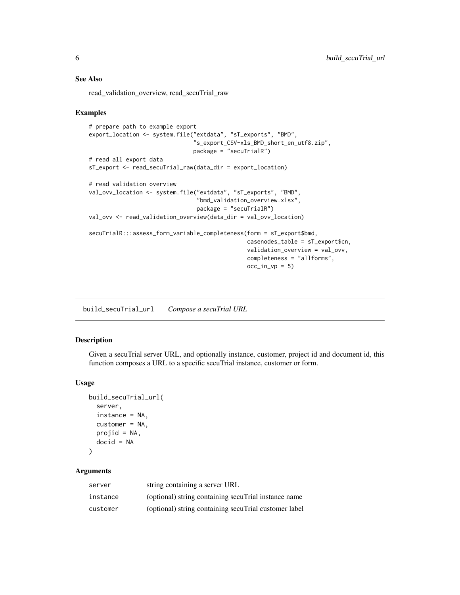# <span id="page-5-0"></span>See Also

read\_validation\_overview, read\_secuTrial\_raw

#### Examples

```
# prepare path to example export
export_location <- system.file("extdata", "sT_exports", "BMD",
                               "s_export_CSV-xls_BMD_short_en_utf8.zip",
                               package = "secuTrialR")
# read all export data
sT_export <- read_secuTrial_raw(data_dir = export_location)
# read validation overview
val_ovv_location <- system.file("extdata", "sT_exports", "BMD",
                                "bmd_validation_overview.xlsx",
                                package = "secuTrialR")
val_ovv <- read_validation_overview(data_dir = val_ovv_location)
secuTrialR:::assess_form_variable_completeness(form = sT_export$bmd,
                                               casenodes_table = sT_export$cn,
                                               validation_overview = val_ovv,
                                               completeness = "allforms",
                                               occ_in_vp = 5)
```
build\_secuTrial\_url *Compose a secuTrial URL*

# Description

Given a secuTrial server URL, and optionally instance, customer, project id and document id, this function composes a URL to a specific secuTrial instance, customer or form.

# Usage

```
build_secuTrial_url(
  server,
  instance = NA,
  customer = NA,
 projid = NA,
  docid = NA
)
```
#### Arguments

| server   | string containing a server URL                        |
|----------|-------------------------------------------------------|
| instance | (optional) string containing secuTrial instance name  |
| customer | (optional) string containing secuTrial customer label |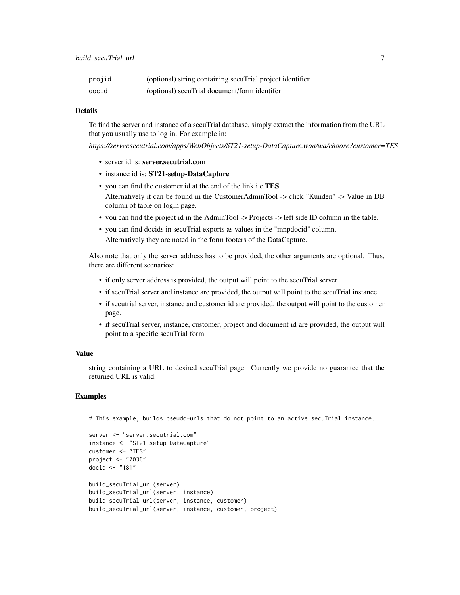| projid | (optional) string containing secuTrial project identifier |
|--------|-----------------------------------------------------------|
| docid  | (optional) secuTrial document/form identifer              |

# Details

To find the server and instance of a secuTrial database, simply extract the information from the URL that you usually use to log in. For example in:

*https://server.secutrial.com/apps/WebObjects/ST21-setup-DataCapture.woa/wa/choose?customer=TES*

- server id is: server.secutrial.com
- instance id is: ST21-setup-DataCapture
- you can find the customer id at the end of the link i.e TES Alternatively it can be found in the CustomerAdminTool -> click "Kunden" -> Value in DB column of table on login page.
- you can find the project id in the AdminTool -> Projects -> left side ID column in the table.
- you can find docids in secuTrial exports as values in the "mnpdocid" column. Alternatively they are noted in the form footers of the DataCapture.

Also note that only the server address has to be provided, the other arguments are optional. Thus, there are different scenarios:

- if only server address is provided, the output will point to the secuTrial server
- if secuTrial server and instance are provided, the output will point to the secuTrial instance.
- if secutrial server, instance and customer id are provided, the output will point to the customer page.
- if secuTrial server, instance, customer, project and document id are provided, the output will point to a specific secuTrial form.

## Value

string containing a URL to desired secuTrial page. Currently we provide no guarantee that the returned URL is valid.

# Examples

# This example, builds pseudo-urls that do not point to an active secuTrial instance.

```
server <- "server.secutrial.com"
instance <- "ST21-setup-DataCapture"
customer <- "TES"
project <- "7036"
docid <- "181"
build_secuTrial_url(server)
build_secuTrial_url(server, instance)
build_secuTrial_url(server, instance, customer)
build_secuTrial_url(server, instance, customer, project)
```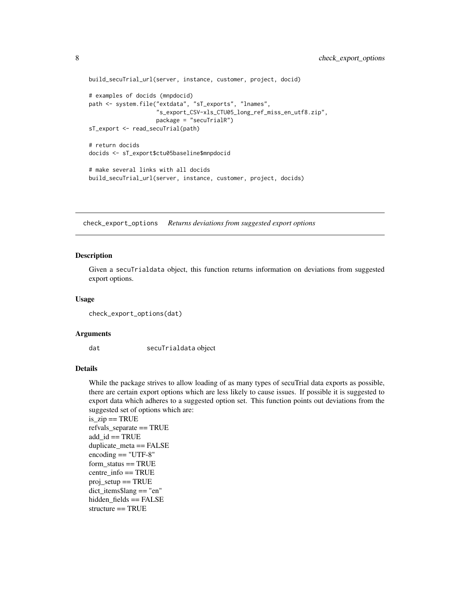```
build_secuTrial_url(server, instance, customer, project, docid)
# examples of docids (mnpdocid)
path <- system.file("extdata", "sT_exports", "lnames",
                    "s_export_CSV-xls_CTU05_long_ref_miss_en_utf8.zip",
                    package = "secuTrialR")
sT_export <- read_secuTrial(path)
# return docids
docids <- sT_export$ctu05baseline$mnpdocid
# make several links with all docids
build_secuTrial_url(server, instance, customer, project, docids)
```
check\_export\_options *Returns deviations from suggested export options*

## Description

Given a secuTrialdata object, this function returns information on deviations from suggested export options.

#### Usage

```
check_export_options(dat)
```
#### Arguments

dat secuTrialdata object

#### Details

While the package strives to allow loading of as many types of secuTrial data exports as possible, there are certain export options which are less likely to cause issues. If possible it is suggested to export data which adheres to a suggested option set. This function points out deviations from the suggested set of options which are:

```
is\_zip == TRUErefvals_separate == TRUE
add_id == TRUEduplicate_meta == FALSE
encoding == "UTF-8"
form status == TRUEcentre_info == TRUE
proj setup == TRUEdict_items$lang == "en"
hidden fields == FALSE
structure == TRUE
```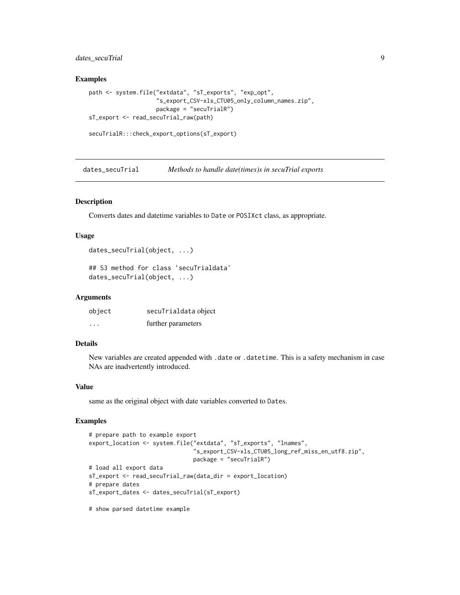# <span id="page-8-0"></span>dates\_secuTrial 9

## Examples

```
path <- system.file("extdata", "sT_exports", "exp_opt",
                    "s_export_CSV-xls_CTU05_only_column_names.zip",
                    package = "secuTrialR")
sT_export <- read_secuTrial_raw(path)
```

```
secuTrialR:::check_export_options(sT_export)
```
dates\_secuTrial *Methods to handle date(times)s in secuTrial exports*

# Description

Converts dates and datetime variables to Date or POSIXct class, as appropriate.

#### Usage

```
dates_secuTrial(object, ...)
```

```
## S3 method for class 'secuTrialdata'
dates_secuTrial(object, ...)
```
## Arguments

| object                  | secuTrialdata object |
|-------------------------|----------------------|
| $\cdot$ $\cdot$ $\cdot$ | further parameters   |

# Details

New variables are created appended with .date or .datetime. This is a safety mechanism in case NAs are inadvertently introduced.

#### Value

same as the original object with date variables converted to Dates.

# Examples

```
# prepare path to example export
export_location <- system.file("extdata", "sT_exports", "lnames",
                               "s_export_CSV-xls_CTU05_long_ref_miss_en_utf8.zip",
                               package = "secuTrialR")
# load all export data
sT_export <- read_secuTrial_raw(data_dir = export_location)
# prepare dates
sT_export_dates <- dates_secuTrial(sT_export)
```
# show parsed datetime example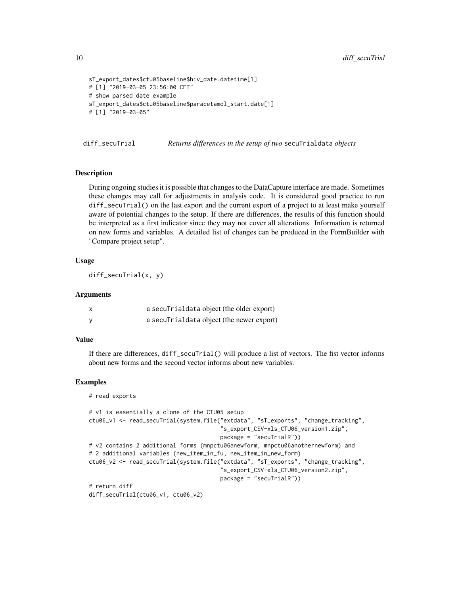```
sT_export_dates$ctu05baseline$hiv_date.datetime[1]
# [1] "2019-03-05 23:56:00 CET"
# show parsed date example
sT_export_dates$ctu05baseline$paracetamol_start.date[1]
# [1] "2019-03-05"
```
diff\_secuTrial *Returns differences in the setup of two* secuTrialdata *objects*

# Description

During ongoing studies it is possible that changes to the DataCapture interface are made. Sometimes these changes may call for adjustments in analysis code. It is considered good practice to run diff\_secuTrial() on the last export and the current export of a project to at least make yourself aware of potential changes to the setup. If there are differences, the results of this function should be interpreted as a first indicator since they may not cover all alterations. Information is returned on new forms and variables. A detailed list of changes can be produced in the FormBuilder with "Compare project setup".

# Usage

diff\_secuTrial(x, y)

#### Arguments

| a secuTrialdata object (the older export) |
|-------------------------------------------|
| a secuTrialdata object (the newer export) |

# Value

If there are differences, diff\_secuTrial() will produce a list of vectors. The fist vector informs about new forms and the second vector informs about new variables.

```
# read exports
```

```
# v1 is essentially a clone of the CTU05 setup
ctu06_v1 <- read_secuTrial(system.file("extdata", "sT_exports", "change_tracking",
                                       "s_export_CSV-xls_CTU06_version1.zip",
                                       package = "secuTrialR"))
# v2 contains 2 additional forms (mnpctu06anewform, mnpctu06anothernewform) and
# 2 additional variables (new_item_in_fu, new_item_in_new_form)
ctu06_v2 <- read_secuTrial(system.file("extdata", "sT_exports", "change_tracking",
                                       "s_export_CSV-xls_CTU06_version2.zip",
                                       package = "secuTrialR"))
# return diff
diff_secuTrial(ctu06_v1, ctu06_v2)
```
<span id="page-9-0"></span>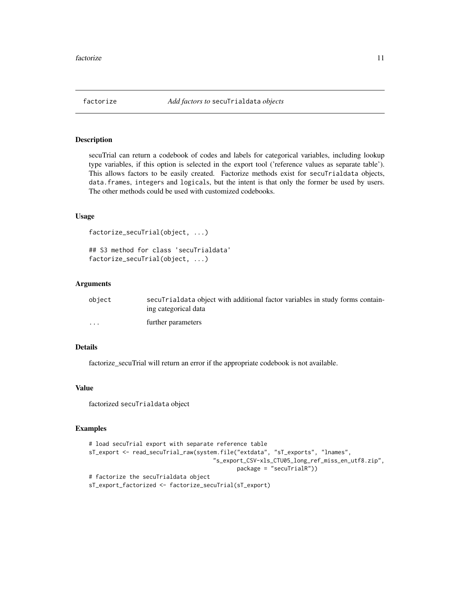<span id="page-10-0"></span>

## Description

secuTrial can return a codebook of codes and labels for categorical variables, including lookup type variables, if this option is selected in the export tool ('reference values as separate table'). This allows factors to be easily created. Factorize methods exist for secuTrialdata objects, data.frames, integers and logicals, but the intent is that only the former be used by users. The other methods could be used with customized codebooks.

# Usage

```
factorize_secuTrial(object, ...)
```
## S3 method for class 'secuTrialdata' factorize\_secuTrial(object, ...)

## Arguments

| object               | secularization object with additional factor variables in study forms contain-<br>ing categorical data |
|----------------------|--------------------------------------------------------------------------------------------------------|
| $\ddot{\phantom{0}}$ | further parameters                                                                                     |

# Details

factorize\_secuTrial will return an error if the appropriate codebook is not available.

# Value

factorized secuTrialdata object

```
# load secuTrial export with separate reference table
sT_export <- read_secuTrial_raw(system.file("extdata", "sT_exports", "lnames",
                                     "s_export_CSV-xls_CTU05_long_ref_miss_en_utf8.zip",
                                            package = "secuTrialR"))
# factorize the secuTrialdata object
sT_export_factorized <- factorize_secuTrial(sT_export)
```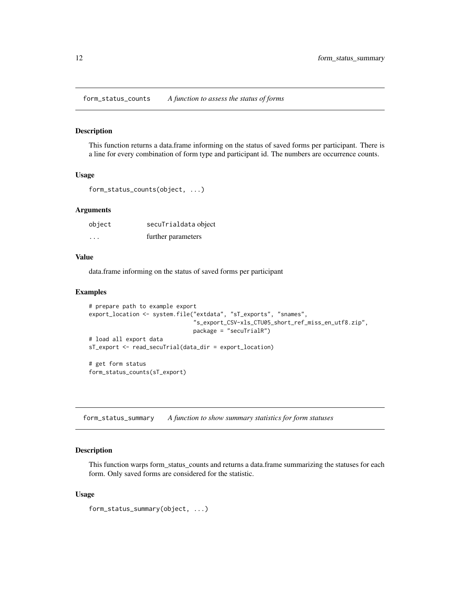<span id="page-11-0"></span>form\_status\_counts *A function to assess the status of forms*

#### Description

This function returns a data.frame informing on the status of saved forms per participant. There is a line for every combination of form type and participant id. The numbers are occurrence counts.

#### Usage

```
form_status_counts(object, ...)
```
# Arguments

| object   | secuTrialdata object |
|----------|----------------------|
| $\cdots$ | further parameters   |

# Value

data.frame informing on the status of saved forms per participant

# Examples

```
# prepare path to example export
export_location <- system.file("extdata", "sT_exports", "snames",
                               "s_export_CSV-xls_CTU05_short_ref_miss_en_utf8.zip",
                               package = "secuTrialR")
# load all export data
sT_export <- read_secuTrial(data_dir = export_location)
# get form status
form_status_counts(sT_export)
```
form\_status\_summary *A function to show summary statistics for form statuses*

# Description

This function warps form\_status\_counts and returns a data.frame summarizing the statuses for each form. Only saved forms are considered for the statistic.

# Usage

```
form_status_summary(object, ...)
```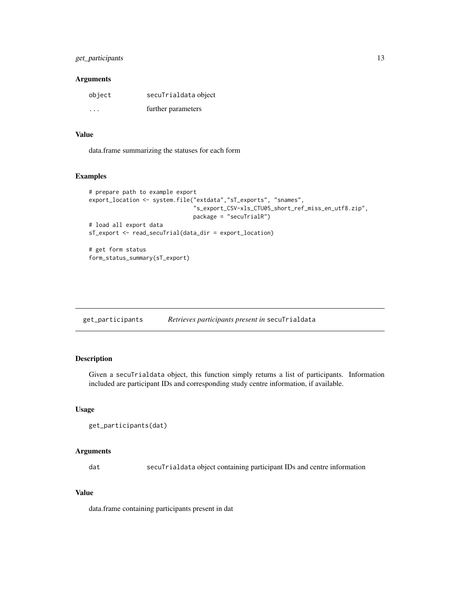# <span id="page-12-0"></span>get\_participants 13

# Arguments

| object | secuTrialdata object |
|--------|----------------------|
| .      | further parameters   |

## Value

data.frame summarizing the statuses for each form

# Examples

```
# prepare path to example export
export_location <- system.file("extdata","sT_exports", "snames",
                               "s_export_CSV-xls_CTU05_short_ref_miss_en_utf8.zip",
                               package = "secuTrialR")
# load all export data
sT_export <- read_secuTrial(data_dir = export_location)
# get form status
```

```
form_status_summary(sT_export)
```
get\_participants *Retrieves participants present in* secuTrialdata

# Description

Given a secuTrialdata object, this function simply returns a list of participants. Information included are participant IDs and corresponding study centre information, if available.

# Usage

```
get_participants(dat)
```
# Arguments

dat secuTrialdata object containing participant IDs and centre information

# Value

data.frame containing participants present in dat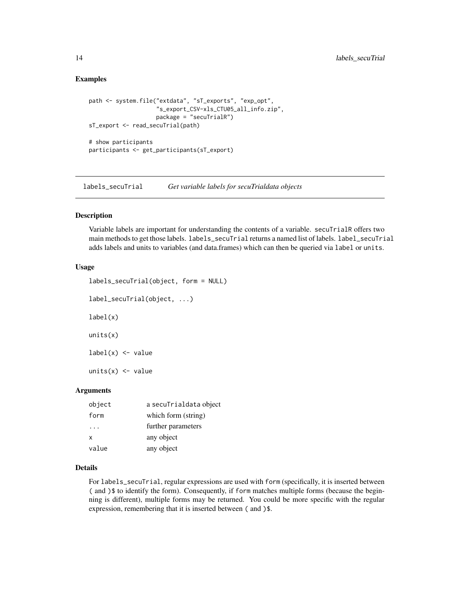# <span id="page-13-0"></span>Examples

```
path <- system.file("extdata", "sT_exports", "exp_opt",
                    "s_export_CSV-xls_CTU05_all_info.zip",
                    package = "secuTrialR")
sT_export <- read_secuTrial(path)
# show participants
participants <- get_participants(sT_export)
```
labels\_secuTrial *Get variable labels for secuTrialdata objects*

# Description

Variable labels are important for understanding the contents of a variable. secuTrialR offers two main methods to get those labels. labels\_secuTrial returns a named list of labels. label\_secuTrial adds labels and units to variables (and data.frames) which can then be queried via label or units.

#### Usage

```
labels_secuTrial(object, form = NULL)
   label_secuTrial(object, ...)
   label(x)
   units(x)
   label(x) \leftarrow valueunits(x) < - valueArguments
```

| object   | a secuTrialdata object |
|----------|------------------------|
| form     | which form (string)    |
| $\cdots$ | further parameters     |
| x        | any object             |
| value    | any object             |

# Details

For labels\_secuTrial, regular expressions are used with form (specifically, it is inserted between ( and )\$ to identify the form). Consequently, if form matches multiple forms (because the beginning is different), multiple forms may be returned. You could be more specific with the regular expression, remembering that it is inserted between ( and )\$.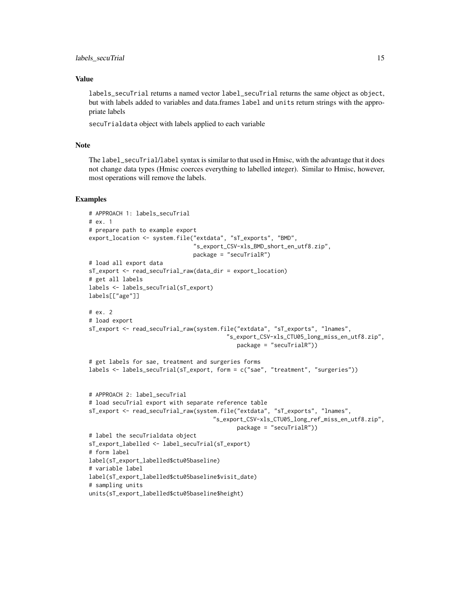# Value

labels\_secuTrial returns a named vector label\_secuTrial returns the same object as object, but with labels added to variables and data.frames label and units return strings with the appropriate labels

secuTrialdata object with labels applied to each variable

# **Note**

The label\_secuTrial/label syntax is similar to that used in Hmisc, with the advantage that it does not change data types (Hmisc coerces everything to labelled integer). Similar to Hmisc, however, most operations will remove the labels.

```
# APPROACH 1: labels_secuTrial
# ex. 1
# prepare path to example export
export_location <- system.file("extdata", "sT_exports", "BMD",
                               "s_export_CSV-xls_BMD_short_en_utf8.zip",
                               package = "secuTrialR")
# load all export data
sT_export <- read_secuTrial_raw(data_dir = export_location)
# get all labels
labels <- labels_secuTrial(sT_export)
labels[["age"]]
# ex. 2
# load export
sT_export <- read_secuTrial_raw(system.file("extdata", "sT_exports", "lnames",
                                         "s_export_CSV-xls_CTU05_long_miss_en_utf8.zip",
                                            package = "secuTrialR"))
# get labels for sae, treatment and surgeries forms
labels <- labels_secuTrial(sT_export, form = c("sae", "treatment", "surgeries"))
# APPROACH 2: label_secuTrial
# load secuTrial export with separate reference table
sT_export <- read_secuTrial_raw(system.file("extdata", "sT_exports", "lnames",
                                     "s_export_CSV-xls_CTU05_long_ref_miss_en_utf8.zip",
                                            package = "secuTrialR"))
# label the secuTrialdata object
sT_export_labelled <- label_secuTrial(sT_export)
# form label
label(sT_export_labelled$ctu05baseline)
# variable label
label(sT_export_labelled$ctu05baseline$visit_date)
# sampling units
units(sT_export_labelled$ctu05baseline$height)
```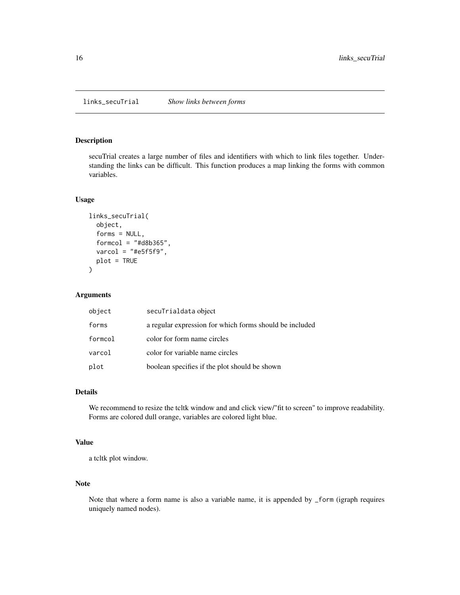<span id="page-15-0"></span>

# Description

secuTrial creates a large number of files and identifiers with which to link files together. Understanding the links can be difficult. This function produces a map linking the forms with common variables.

#### Usage

```
links_secuTrial(
  object,
  forms = NULL,
  formcol = "#d8b365",
  varcol = "#e5f5f9",plot = TRUE
)
```
# Arguments

| object  | secuTrialdata object                                    |
|---------|---------------------------------------------------------|
| forms   | a regular expression for which forms should be included |
| formcol | color for form name circles                             |
| varcol  | color for variable name circles                         |
| plot    | boolean specifies if the plot should be shown           |

# Details

We recommend to resize the tcltk window and and click view/"fit to screen" to improve readability. Forms are colored dull orange, variables are colored light blue.

# Value

a tcltk plot window.

## Note

Note that where a form name is also a variable name, it is appended by \_form (igraph requires uniquely named nodes).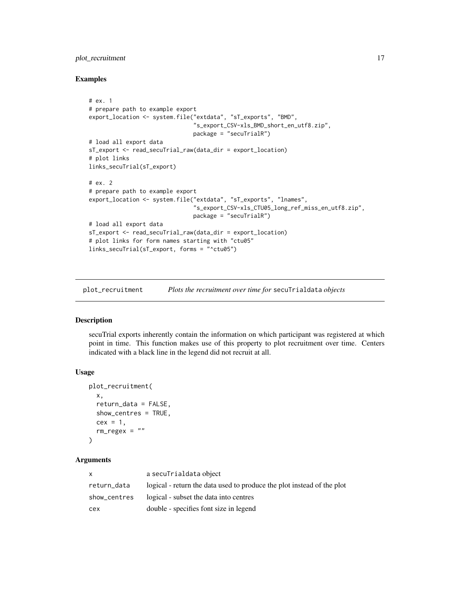# <span id="page-16-0"></span>plot\_recruitment 17

# Examples

```
# ex. 1
# prepare path to example export
export_location <- system.file("extdata", "sT_exports", "BMD",
                               "s_export_CSV-xls_BMD_short_en_utf8.zip",
                               package = "secuTrialR")
# load all export data
sT_export <- read_secuTrial_raw(data_dir = export_location)
# plot links
links_secuTrial(sT_export)
# ex. 2
# prepare path to example export
export_location <- system.file("extdata", "sT_exports", "lnames",
                               "s_export_CSV-xls_CTU05_long_ref_miss_en_utf8.zip",
                               package = "secuTrialR")
# load all export data
sT_export <- read_secuTrial_raw(data_dir = export_location)
# plot links for form names starting with "ctu05"
links_secuTrial(sT_export, forms = "^ctu05")
```
plot\_recruitment *Plots the recruitment over time for* secuTrialdata *objects*

#### Description

secuTrial exports inherently contain the information on which participant was registered at which point in time. This function makes use of this property to plot recruitment over time. Centers indicated with a black line in the legend did not recruit at all.

# Usage

```
plot_recruitment(
  x,
  return_data = FALSE,
  show_centres = TRUE,
  cex = 1,
  rm_{regex} = "")
```
#### **Arguments**

| x            | a secuTrialdata object                                                 |
|--------------|------------------------------------------------------------------------|
| return_data  | logical - return the data used to produce the plot instead of the plot |
| show_centres | logical - subset the data into centres                                 |
| cex          | double - specifies font size in legend                                 |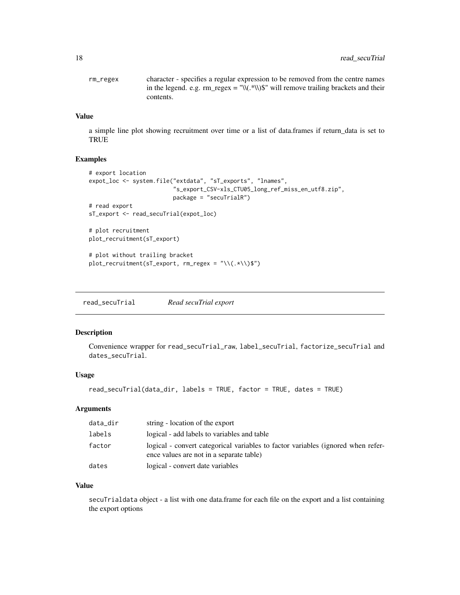<span id="page-17-0"></span>

| rm_regex | character - specifies a regular expression to be removed from the centre names      |
|----------|-------------------------------------------------------------------------------------|
|          | in the legend. e.g. $rm\_regex = "W(*W)\$ " will remove trailing brackets and their |
|          | contents.                                                                           |

# Value

a simple line plot showing recruitment over time or a list of data.frames if return\_data is set to TRUE

# Examples

```
# export location
expot_loc <- system.file("extdata", "sT_exports", "lnames",
                         "s_export_CSV-xls_CTU05_long_ref_miss_en_utf8.zip",
                         package = "secuTrialR")
# read export
sT_export <- read_secuTrial(expot_loc)
# plot recruitment
plot_recruitment(sT_export)
```

```
# plot without trailing bracket
plot_recruitment(sT_export, rm_regex = "\\(.*\\)$")
```
read\_secuTrial *Read secuTrial export*

#### Description

Convenience wrapper for read\_secuTrial\_raw, label\_secuTrial, factorize\_secuTrial and dates\_secuTrial.

# Usage

```
read_secuTrial(data_dir, labels = TRUE, factor = TRUE, dates = TRUE)
```
# Arguments

| data_dir | string - location of the export                                                                                              |
|----------|------------------------------------------------------------------------------------------------------------------------------|
| labels   | logical - add labels to variables and table                                                                                  |
| factor   | logical - convert categorical variables to factor variables (ignored when refer-<br>ence values are not in a separate table) |
| dates    | logical - convert date variables                                                                                             |

# Value

secuTrialdata object - a list with one data.frame for each file on the export and a list containing the export options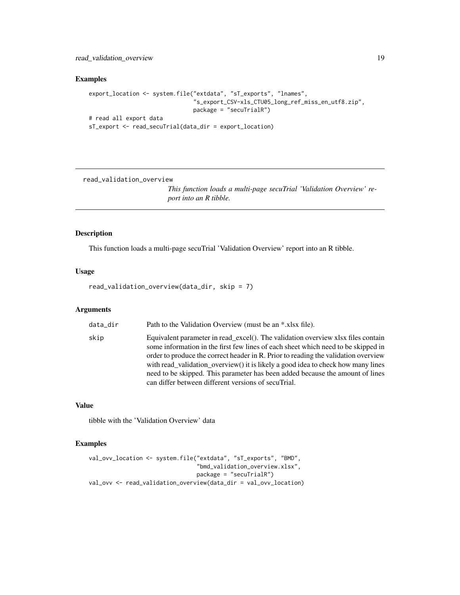# <span id="page-18-0"></span>read\_validation\_overview 19

# Examples

```
export_location <- system.file("extdata", "sT_exports", "lnames",
                               "s_export_CSV-xls_CTU05_long_ref_miss_en_utf8.zip",
                               package = "secuTrialR")
# read all export data
sT_export <- read_secuTrial(data_dir = export_location)
```
read\_validation\_overview

*This function loads a multi-page secuTrial 'Validation Overview' report into an R tibble.*

# Description

This function loads a multi-page secuTrial 'Validation Overview' report into an R tibble.

# Usage

read\_validation\_overview(data\_dir, skip = 7)

# Arguments

| data dir       | Path to the Validation Overview (must be an *.xlsx file).                                                                                           |
|----------------|-----------------------------------------------------------------------------------------------------------------------------------------------------|
| المحافظ المسار | $\mathbf{F}$ and $\mathbf{F}$ and $\mathbf{F}$ are accountance of the contribution of $\mathbf{F}$ and $\mathbf{F}$ are accountance of $\mathbf{F}$ |

skip Equivalent parameter in read\_excel(). The validation overview xlsx files contain some information in the first few lines of each sheet which need to be skipped in order to produce the correct header in R. Prior to reading the validation overview with read\_validation\_overview() it is likely a good idea to check how many lines need to be skipped. This parameter has been added because the amount of lines can differ between different versions of secuTrial.

# Value

tibble with the 'Validation Overview' data

```
val_ovv_location <- system.file("extdata", "sT_exports", "BMD",
                                "bmd_validation_overview.xlsx",
                                package = "secuTrialR")
val_ovv <- read_validation_overview(data_dir = val_ovv_location)
```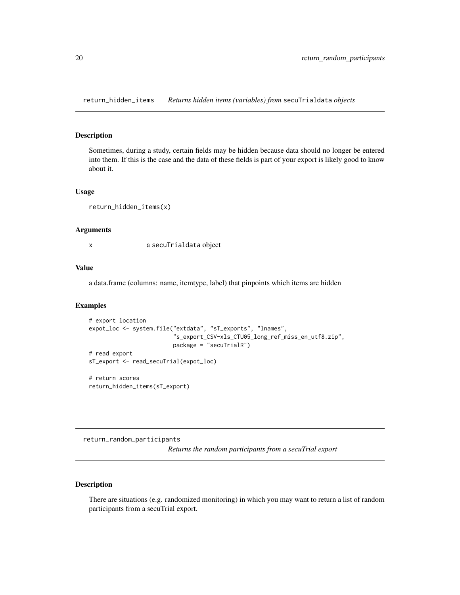<span id="page-19-0"></span>return\_hidden\_items *Returns hidden items (variables) from* secuTrialdata *objects*

# Description

Sometimes, during a study, certain fields may be hidden because data should no longer be entered into them. If this is the case and the data of these fields is part of your export is likely good to know about it.

#### Usage

```
return_hidden_items(x)
```
#### Arguments

x a secuTrialdata object

#### Value

a data.frame (columns: name, itemtype, label) that pinpoints which items are hidden

# Examples

```
# export location
expot_loc <- system.file("extdata", "sT_exports", "lnames",
                         "s_export_CSV-xls_CTU05_long_ref_miss_en_utf8.zip",
                         package = "secuTrialR")
# read export
sT_export <- read_secuTrial(expot_loc)
# return scores
return_hidden_items(sT_export)
```
return\_random\_participants

*Returns the random participants from a secuTrial export*

# Description

There are situations (e.g. randomized monitoring) in which you may want to return a list of random participants from a secuTrial export.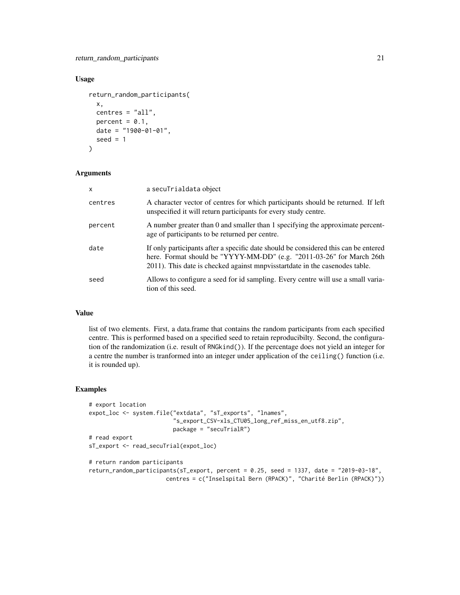# Usage

```
return_random_participants(
 x,
 centres = "all",percent = 0.1,
 date = "1900-01-01",
 seed = 1)
```
# Arguments

| $\mathsf{x}$ | a secuTrialdata object                                                                                                                                                                                                                      |
|--------------|---------------------------------------------------------------------------------------------------------------------------------------------------------------------------------------------------------------------------------------------|
| centres      | A character vector of centres for which participants should be returned. If left<br>unspecified it will return participants for every study centre.                                                                                         |
| percent      | A number greater than 0 and smaller than 1 specifying the approximate percent-<br>age of participants to be returned per centre.                                                                                                            |
| date         | If only participants after a specific date should be considered this can be entered<br>here. Format should be "YYYY-MM-DD" (e.g. "2011-03-26" for March 26th<br>2011). This date is checked against mnpvisstartdate in the casenodes table. |
| seed         | Allows to configure a seed for id sampling. Every centre will use a small varia-<br>tion of this seed.                                                                                                                                      |

# Value

list of two elements. First, a data.frame that contains the random participants from each specified centre. This is performed based on a specified seed to retain reproducibilty. Second, the configuration of the randomization (i.e. result of RNGkind()). If the percentage does not yield an integer for a centre the number is tranformed into an integer under application of the ceiling() function (i.e. it is rounded up).

```
# export location
expot_loc <- system.file("extdata", "sT_exports", "lnames",
                         "s_export_CSV-xls_CTU05_long_ref_miss_en_utf8.zip",
                        package = "secuTrialR")
# read export
sT_export <- read_secuTrial(expot_loc)
# return random participants
return_random_participants(sT_export, percent = 0.25, seed = 1337, date = "2019-03-18",
                       centres = c("Inselspital Bern (RPACK)", "Charité Berlin (RPACK)"))
```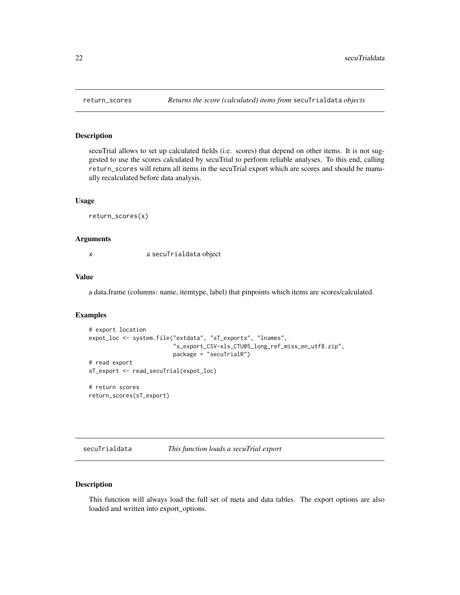<span id="page-21-0"></span>

# Description

secuTrial allows to set up calculated fields (i.e. scores) that depend on other items. It is not suggested to use the scores calculated by secuTrial to perform reliable analyses. To this end, calling return\_scores will return all items in the secuTrial export which are scores and should be manually recalculated before data analysis.

#### Usage

return\_scores(x)

#### Arguments

x a secuTrialdata object

# Value

a data.frame (columns: name, itemtype, label) that pinpoints which items are scores/calculated.

#### Examples

```
# export location
expot_loc <- system.file("extdata", "sT_exports", "lnames",
                         "s_export_CSV-xls_CTU05_long_ref_miss_en_utf8.zip",
                         package = "secuTrialR")
# read export
sT_export <- read_secuTrial(expot_loc)
# return scores
```
return\_scores(sT\_export)

| secuTrialdata | This function loads a secuTrial export |  |  |  |
|---------------|----------------------------------------|--|--|--|
|---------------|----------------------------------------|--|--|--|

# Description

This function will always load the full set of meta and data tables. The export options are also loaded and written into export\_options.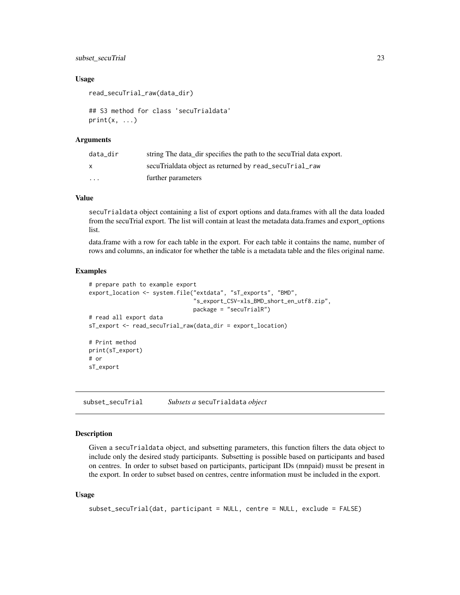# <span id="page-22-0"></span>subset\_secuTrial 23

# Usage

read\_secuTrial\_raw(data\_dir)

```
## S3 method for class 'secuTrialdata'
print(x, \ldots)
```
# Arguments

| data dir                | string The data dir specifies the path to the secularial data export. |
|-------------------------|-----------------------------------------------------------------------|
| $\mathsf{x}$            | secuTrialdata object as returned by read_secuTrial_raw                |
| $\cdot$ $\cdot$ $\cdot$ | further parameters                                                    |

# Value

secuTrialdata object containing a list of export options and data.frames with all the data loaded from the secuTrial export. The list will contain at least the metadata data.frames and export\_options list.

data.frame with a row for each table in the export. For each table it contains the name, number of rows and columns, an indicator for whether the table is a metadata table and the files original name.

#### Examples

```
# prepare path to example export
export_location <- system.file("extdata", "sT_exports", "BMD",
                               "s_export_CSV-xls_BMD_short_en_utf8.zip",
                               package = "secuTrialR")
# read all export data
sT_export <- read_secuTrial_raw(data_dir = export_location)
# Print method
print(sT_export)
# or
sT_export
```
subset\_secuTrial *Subsets a* secuTrialdata *object*

# Description

Given a secuTrialdata object, and subsetting parameters, this function filters the data object to include only the desired study participants. Subsetting is possible based on participants and based on centres. In order to subset based on participants, participant IDs (mnpaid) musst be present in the export. In order to subset based on centres, centre information must be included in the export.

#### Usage

```
subset_secuTrial(dat, participant = NULL, centre = NULL, exclude = FALSE)
```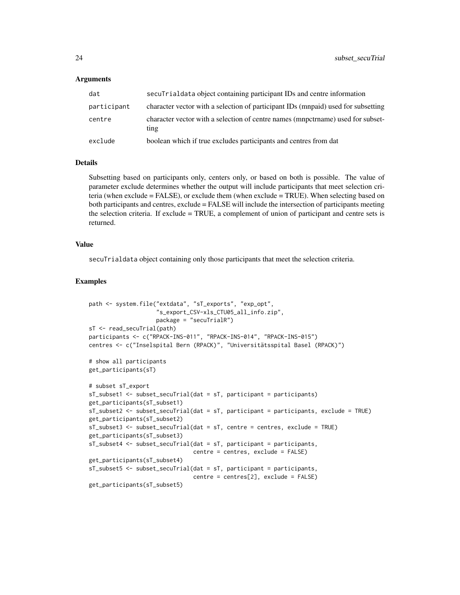#### Arguments

| dat         | secularization object containing participant IDs and centre information                 |
|-------------|-----------------------------------------------------------------------------------------|
| participant | character vector with a selection of participant IDs (mnpaid) used for subsetting       |
| centre      | character vector with a selection of centre names (mnpctrname) used for subset-<br>ting |
| exclude     | boolean which if true excludes participants and centres from dat                        |

#### Details

Subsetting based on participants only, centers only, or based on both is possible. The value of parameter exclude determines whether the output will include participants that meet selection criteria (when exclude = FALSE), or exclude them (when exclude = TRUE). When selecting based on both participants and centres, exclude = FALSE will include the intersection of participants meeting the selection criteria. If exclude = TRUE, a complement of union of participant and centre sets is returned.

# Value

secuTrialdata object containing only those participants that meet the selection criteria.

```
path <- system.file("extdata", "sT_exports", "exp_opt",
                    "s_export_CSV-xls_CTU05_all_info.zip",
                    package = "secuTrialR")
sT <- read_secuTrial(path)
participants <- c("RPACK-INS-011", "RPACK-INS-014", "RPACK-INS-015")
centres <- c("Inselspital Bern (RPACK)", "Universitätsspital Basel (RPACK)")
# show all participants
get_participants(sT)
# subset sT_export
sT_subset1 <- subset_secuTrial(dat = sT, participant = participants)
get_participants(sT_subset1)
sT_subset2 <- subset_secuTrial(dat = sT, participant = participants, exclude = TRUE)
get_participants(sT_subset2)
sT_subset3 <- subset_secuTrial(dat = sT, centre = centres, exclude = TRUE)
get_participants(sT_subset3)
sT_subset4 <- subset_secuTrial(dat = sT, participant = participants,
                               centre = centres, exclude = FALSE)
get_participants(sT_subset4)
sT_subset5 <- subset_secuTrial(dat = sT, participant = participants,
                               centre = centres[2], exclude = FALSE)
get_participants(sT_subset5)
```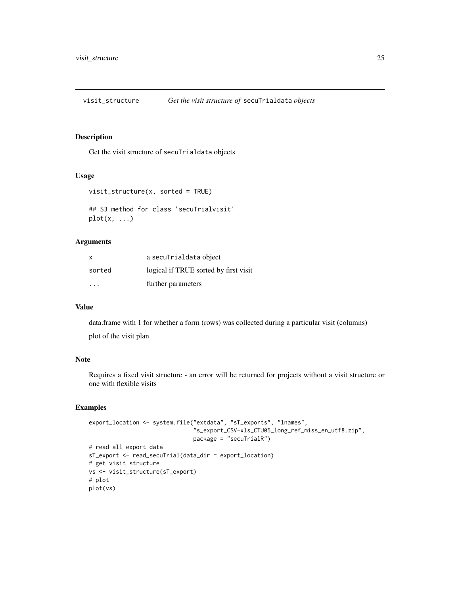<span id="page-24-0"></span>visit\_structure *Get the visit structure of* secuTrialdata *objects*

# Description

Get the visit structure of secuTrialdata objects

#### Usage

```
visit_structure(x, sorted = TRUE)
```

```
## S3 method for class 'secuTrialvisit'
plot(x, \ldots)
```
# Arguments

| X      | a secuTrialdata object                |
|--------|---------------------------------------|
| sorted | logical if TRUE sorted by first visit |
| .      | further parameters                    |

# Value

data.frame with 1 for whether a form (rows) was collected during a particular visit (columns) plot of the visit plan

# Note

Requires a fixed visit structure - an error will be returned for projects without a visit structure or one with flexible visits

```
export_location <- system.file("extdata", "sT_exports", "lnames",
                               "s_export_CSV-xls_CTU05_long_ref_miss_en_utf8.zip",
                               package = "secuTrialR")
# read all export data
sT_export <- read_secuTrial(data_dir = export_location)
# get visit structure
vs <- visit_structure(sT_export)
# plot
plot(vs)
```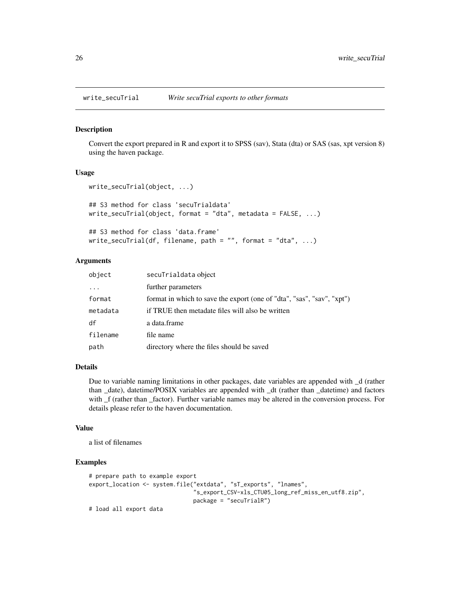#### Description

Convert the export prepared in R and export it to SPSS (sav), Stata (dta) or SAS (sas, xpt version 8) using the haven package.

# Usage

```
write_secuTrial(object, ...)
## S3 method for class 'secuTrialdata'
write_secuTrial(object, format = "dta", metadata = FALSE, ...)
## S3 method for class 'data.frame'
write\_secuTrial(df, filename, path = "", format = "dta", ...)
```
# Arguments

| object   | secuTrialdata object                                                   |
|----------|------------------------------------------------------------------------|
| $\ddots$ | further parameters                                                     |
| format   | format in which to save the export (one of "dta", "sas", "sav", "xpt") |
| metadata | if TRUE then metadate files will also be written                       |
| df       | a data.frame                                                           |
| filename | file name                                                              |
| path     | directory where the files should be saved                              |

# Details

Due to variable naming limitations in other packages, date variables are appended with \_d (rather than \_date), datetime/POSIX variables are appended with \_dt (rather than \_datetime) and factors with  $_f$  (rather than  $_f$ actor). Further variable names may be altered in the conversion process. For details please refer to the haven documentation.

#### Value

a list of filenames

```
# prepare path to example export
export_location <- system.file("extdata", "sT_exports", "lnames",
                               "s_export_CSV-xls_CTU05_long_ref_miss_en_utf8.zip",
                               package = "secuTrialR")
# load all export data
```
<span id="page-25-0"></span>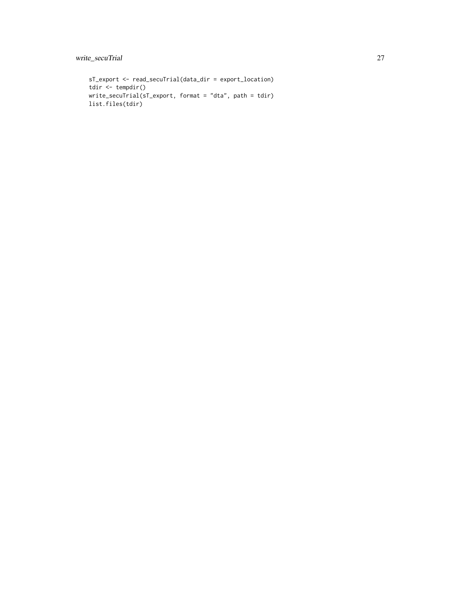```
sT_export <- read_secuTrial(data_dir = export_location)
tdir <- tempdir()
write_secuTrial(sT_export, format = "dta", path = tdir)
list.files(tdir)
```